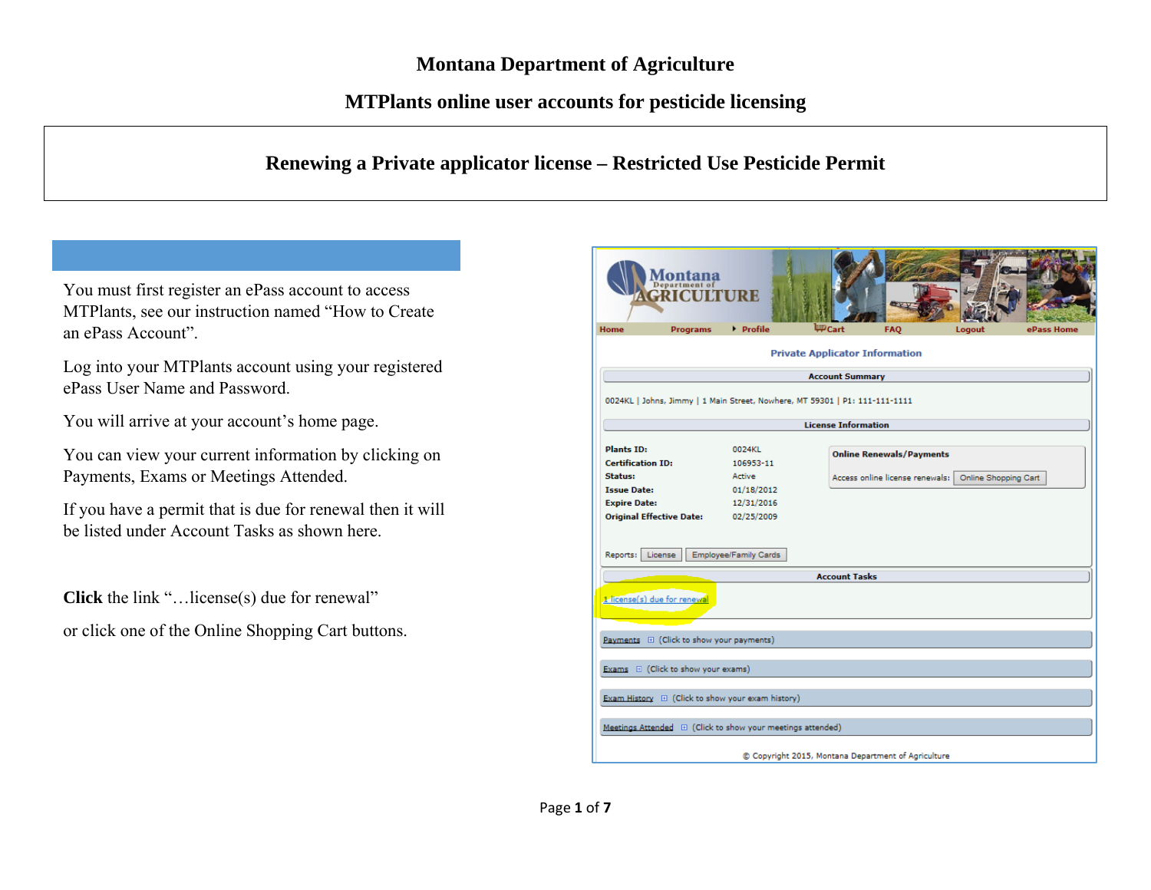## **MTPlants online user accounts for pesticide licensing**

## **Renewing a Private applicator license – Restricted Use Pesticide Permit**

You must first register an ePass account to access MTPlants, see our instruction named "How to Create an ePass Account".

Log into your MTPlants account using your registered ePass User Name and Password.

You will arrive at your account's home page.

You can view your current information by clicking on Payments, Exams or Meetings Attended.

If you have a permit that is due for renewal then it will be listed under Account Tasks as shown here.

**Click** the link "…license(s) due for renewal" or click one of the Online Shopping Cart buttons.

| Department o<br>CRICUI<br><b>Programs</b><br><b>Home</b>                    | $\triangleright$ Profile | <b>B</b> ey<br>Cart) التبتا<br><b>FAQ</b><br>Logout<br>ePass Home |
|-----------------------------------------------------------------------------|--------------------------|-------------------------------------------------------------------|
|                                                                             |                          | <b>Private Applicator Information</b>                             |
|                                                                             |                          | <b>Account Summary</b>                                            |
| 0024KL   Johns, Jimmy   1 Main Street, Nowhere, MT 59301   P1: 111-111-1111 |                          | <b>License Information</b>                                        |
|                                                                             |                          |                                                                   |
| <b>Plants ID:</b>                                                           | 0024KL                   | <b>Online Renewals/Payments</b>                                   |
| <b>Certification ID:</b>                                                    | 106953-11                |                                                                   |
| <b>Status:</b>                                                              | Active                   | Access online license renewals:   Online Shopping Cart            |
| <b>Issue Date:</b>                                                          | 01/18/2012               |                                                                   |
| <b>Expire Date:</b><br><b>Original Effective Date:</b>                      | 12/31/2016<br>02/25/2009 |                                                                   |
| Reports:<br>License                                                         | Employee/Family Cards    | <b>Account Tasks</b>                                              |
|                                                                             |                          |                                                                   |
| 1 license(s) due for renewal                                                |                          |                                                                   |
| Payments E (Click to show your payments)                                    |                          |                                                                   |
| Exams E (Click to show your exams)                                          |                          |                                                                   |
| Exam History $\quad \boxplus \,$ (Click to show your exam history)          |                          |                                                                   |
| Meetings Attended E (Click to show your meetings attended)                  |                          |                                                                   |
|                                                                             |                          | C Copyright 2015, Montana Department of Agriculture               |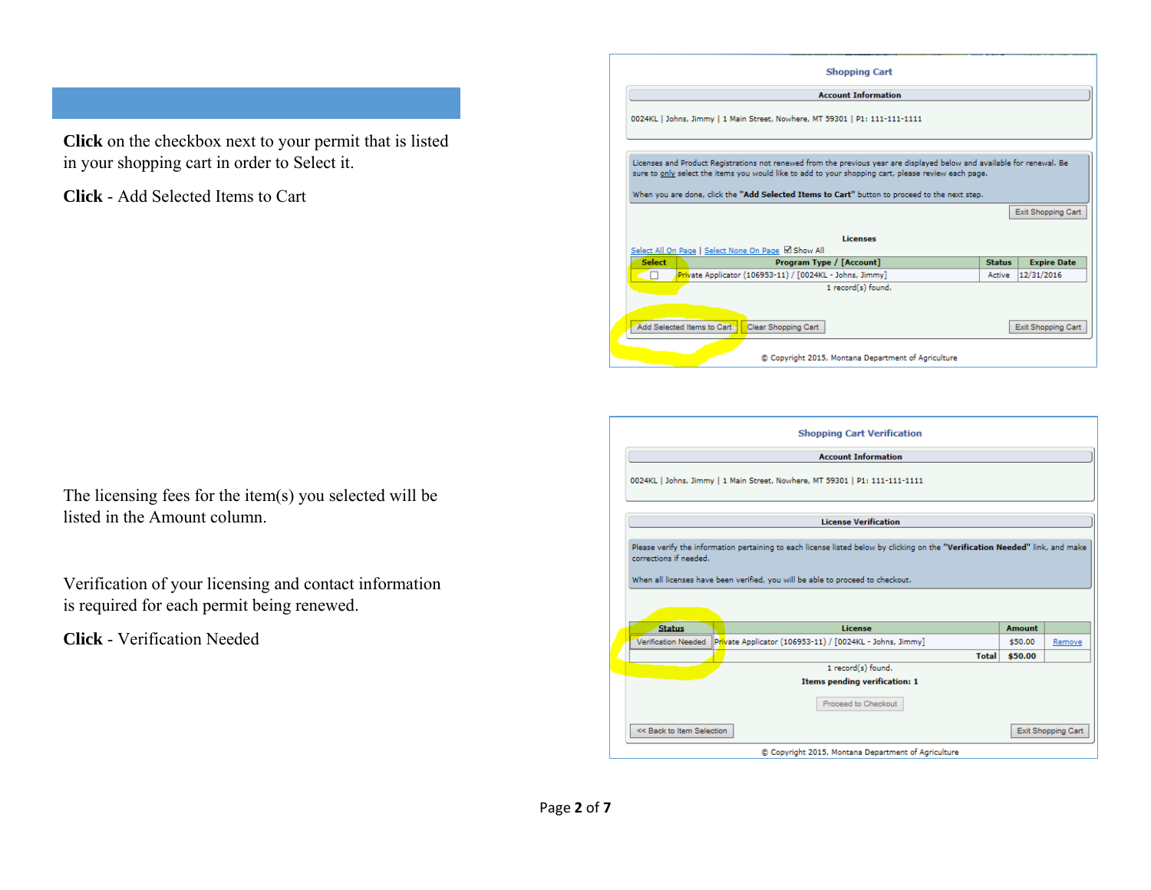**Click** on the checkbox next to your permit that is listed in your shopping cart in order to Select it.

**Click** - Add Selected Items to Cart

| The licensing fees for the item $(s)$ you selected will be |
|------------------------------------------------------------|
| listed in the Amount column.                               |

Verification of your licensing and contact information is required for each permit being renewed.

**Click** - Verification Needed

| <b>Shopping Cart</b>                                                                                                                                                                                                                                                                                                            |               |                    |
|---------------------------------------------------------------------------------------------------------------------------------------------------------------------------------------------------------------------------------------------------------------------------------------------------------------------------------|---------------|--------------------|
| <b>Account Information</b>                                                                                                                                                                                                                                                                                                      |               |                    |
| 0024KL   Johns, Jimmy   1 Main Street, Nowhere, MT 59301   P1: 111-111-1111                                                                                                                                                                                                                                                     |               |                    |
| Licenses and Product Registrations not renewed from the previous year are displayed below and available for renewal. Be<br>sure to only select the items you would like to add to your shopping cart, please review each page.<br>When you are done, click the "Add Selected Items to Cart" button to proceed to the next step. |               |                    |
|                                                                                                                                                                                                                                                                                                                                 |               | Exit Shopping Cart |
| Licenses<br>Select All On Page   Select None On Page Ø Show All                                                                                                                                                                                                                                                                 |               |                    |
| <b>Select</b><br>Program Type / [Account]                                                                                                                                                                                                                                                                                       | <b>Status</b> | <b>Expire Date</b> |
| Private Applicator (106953-11) / [0024KL - Johns, Jimmy]<br>⊆⊓                                                                                                                                                                                                                                                                  | Active        | 12/31/2016         |
| 1 record(s) found.                                                                                                                                                                                                                                                                                                              |               |                    |
| Add Selected Items to Cart<br>Clear Shopping Cart<br>© Copyright 2015, Montana Department of Agriculture                                                                                                                                                                                                                        |               | Exit Shopping Cart |

|                            | <b>Shopping Cart Verification</b>                                                                                                                                                                               |               |                    |
|----------------------------|-----------------------------------------------------------------------------------------------------------------------------------------------------------------------------------------------------------------|---------------|--------------------|
|                            | <b>Account Information</b>                                                                                                                                                                                      |               |                    |
|                            | 0024KL   Johns, Jimmy   1 Main Street, Nowhere, MT 59301   P1: 111-111-1111                                                                                                                                     |               |                    |
|                            | <b>License Verification</b>                                                                                                                                                                                     |               |                    |
| corrections if needed.     | Please verify the information pertaining to each license listed below by clicking on the "Verification Needed" link, and make<br>When all licenses have been verified, you will be able to proceed to checkout. |               |                    |
| <b>Status</b>              | License                                                                                                                                                                                                         | <b>Amount</b> |                    |
| <b>Verification Needed</b> | Private Applicator (106953-11) / [0024KL - Johns, Jimmy]                                                                                                                                                        | \$50.00       | Remove             |
|                            | <b>Total</b>                                                                                                                                                                                                    | \$50.00       |                    |
|                            | 1 record(s) found.                                                                                                                                                                                              |               |                    |
|                            | Items pending verification: 1<br>Proceed to Checkout                                                                                                                                                            |               |                    |
|                            |                                                                                                                                                                                                                 |               |                    |
| << Back to Item Selection  |                                                                                                                                                                                                                 |               | Exit Shopping Cart |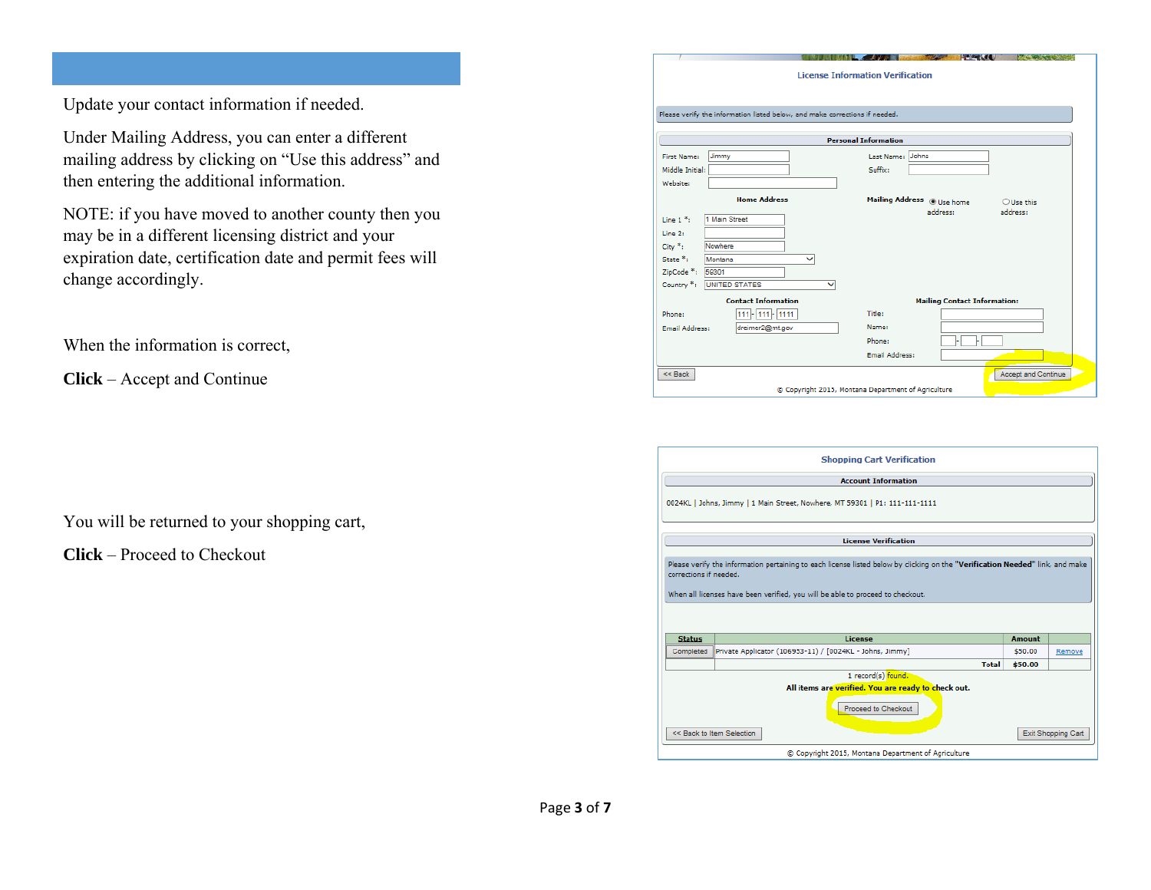Update your contact information if needed.

Under Mailing Address, you can enter a different mailing address by clicking on "Use this address" and then entering the additional information.

NOTE: if you have moved to another county then you may be in a different licensing district and your expiration date, certification date and permit fees will change accordingly.

When the information is correct,

**Click** – Accept and Continue

You will be returned to your shopping cart,

**Click** – Proceed to Checkout

|                       | Please verify the information listed below, and make corrections if needed. |              |                             |                                     |
|-----------------------|-----------------------------------------------------------------------------|--------------|-----------------------------|-------------------------------------|
|                       |                                                                             |              | <b>Personal Information</b> |                                     |
| First Name:           | Jimmy                                                                       |              | Last Name: Johns            |                                     |
| Middle Initial:       |                                                                             |              | Suffix:                     |                                     |
| Website:              |                                                                             |              |                             |                                     |
|                       | <b>Home Address</b>                                                         |              | Mailing Address @ Use home  | O Use this                          |
| Line $1*$ :           | 1 Main Street                                                               |              |                             | address:<br>address:                |
| Line 2:               |                                                                             |              |                             |                                     |
| $City *i$             | Nowhere                                                                     |              |                             |                                     |
| State <sup>*</sup> :  | Montana                                                                     | $\checkmark$ |                             |                                     |
| ZipCode *: 59301      |                                                                             |              |                             |                                     |
| Country *:            | <b>UNITED STATES</b>                                                        | $\checkmark$ |                             |                                     |
|                       | <b>Contact Information</b>                                                  |              |                             | <b>Mailing Contact Information:</b> |
| Phone:                | 111-111-1111                                                                |              | Title:                      |                                     |
| <b>Email Address:</b> | dreimer2@mt.gov                                                             |              | Name:                       |                                     |
|                       |                                                                             |              | Phone:                      |                                     |
|                       |                                                                             |              | <b>Email Address:</b>       |                                     |

|                        | <b>Shopping Cart Verification</b>                                                                                                                                                                               |               |                    |
|------------------------|-----------------------------------------------------------------------------------------------------------------------------------------------------------------------------------------------------------------|---------------|--------------------|
|                        | <b>Account Information</b>                                                                                                                                                                                      |               |                    |
|                        | 0024KL   Johns, Jimmy   1 Main Street, Nowhere, MT 59301   P1: 111-111-1111                                                                                                                                     |               |                    |
|                        | <b>License Verification</b>                                                                                                                                                                                     |               |                    |
| corrections if needed. | Please verify the information pertaining to each license listed below by clicking on the "Verification Needed" link, and make<br>When all licenses have been verified, you will be able to proceed to checkout. |               |                    |
| <b>Status</b>          | License                                                                                                                                                                                                         | <b>Amount</b> |                    |
| Completed              | Private Applicator (106953-11) / [0024KL - Johns, Jimmy]                                                                                                                                                        | \$50.00       | Remove             |
|                        | <b>Total</b>                                                                                                                                                                                                    | \$50.00       |                    |
|                        | 1 record(s) found.<br>All items are verified. You are ready to check out.<br>Proceed to Checkout<br><< Back to Item Selection                                                                                   |               | Exit Shopping Cart |
|                        | C Copyright 2015, Montana Department of Agriculture                                                                                                                                                             |               |                    |
|                        |                                                                                                                                                                                                                 |               |                    |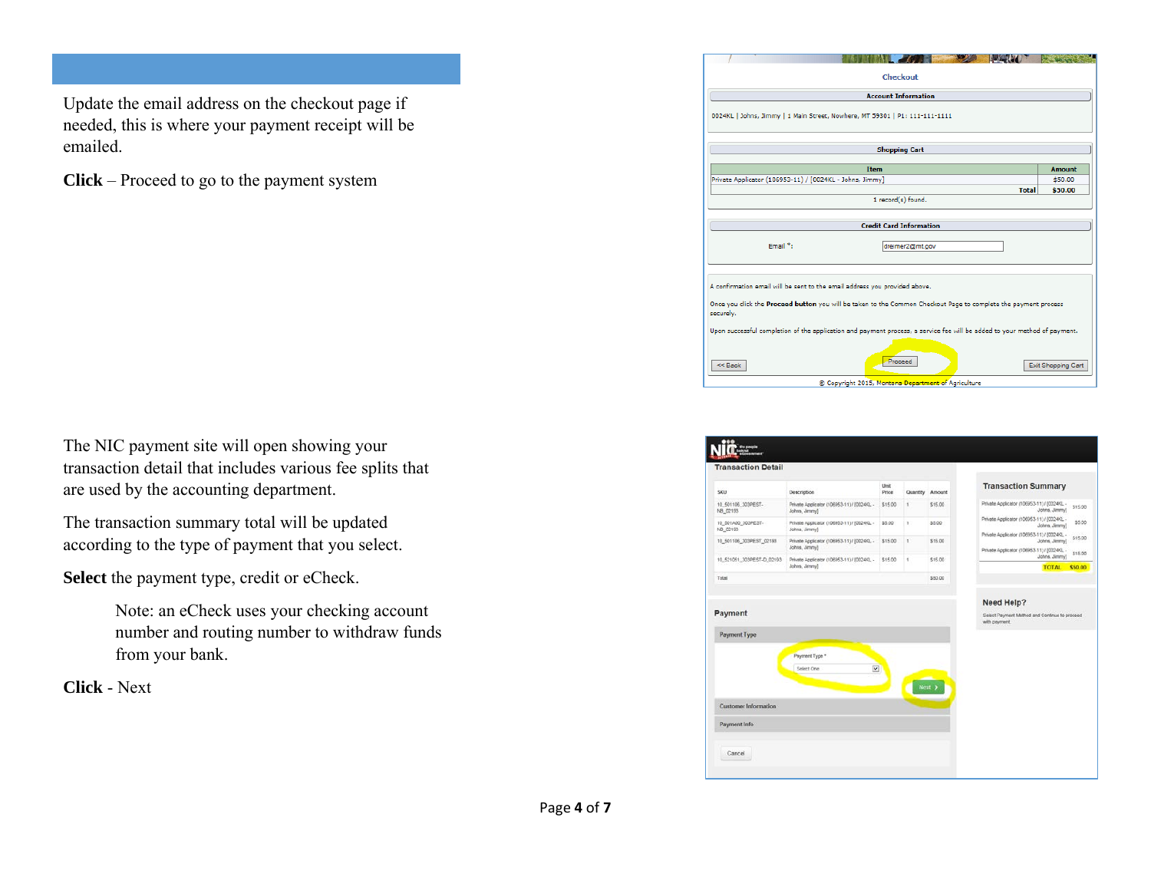Update the email address on the checkout page if needed, this is where your payment receipt will be emailed.

**Click** – Proceed to go to the payment system

| The NIC payment site will open showing your              |
|----------------------------------------------------------|
| transaction detail that includes various fee splits that |
| are used by the accounting department.                   |

The transaction summary total will be updated according to the type of payment that you select.

**Select** the payment type, credit or eCheck.

Note: an eCheck uses your checking account number and routing number to withdraw funds from your bank.

**Click** - Next

|                                                                                                                              | <b>In the Second State</b> |
|------------------------------------------------------------------------------------------------------------------------------|----------------------------|
| Checkout                                                                                                                     |                            |
| <b>Account Information</b>                                                                                                   |                            |
| 0024KL   Johns, Jimmy   1 Main Street, Nowhere, MT 59301   P1: 111-111-1111                                                  |                            |
| <b>Shopping Cart</b>                                                                                                         |                            |
| <b>Item</b>                                                                                                                  | <b>Amount</b>              |
| Private Applicator (106953-11) / [0024KL - Johns, Jimmy]                                                                     | \$50.00                    |
| <b>Total</b>                                                                                                                 | \$50.00                    |
| 1 record(s) found.                                                                                                           |                            |
|                                                                                                                              |                            |
| <b>Credit Card Information</b>                                                                                               |                            |
| Email <sup>8</sup> :<br>dreimer2@mt.gov                                                                                      |                            |
| A confirmation email will be sent to the email address you provided above.                                                   |                            |
| Once you click the Proceed button you will be taken to the Common Checkout Page to complete the payment process<br>securely. |                            |
| Upon successful completion of the application and payment process, a service fee will be added to your method of payment.    |                            |
| Proceed<br>$<<$ Back                                                                                                         | Exit Shopping Cart         |
| C Copyright 2015, Montana Department of Agriculture                                                                          |                            |

| <b>Transaction Detail</b>            |                                                              |               |          |         |                                                                              |
|--------------------------------------|--------------------------------------------------------------|---------------|----------|---------|------------------------------------------------------------------------------|
| SKU                                  | Description                                                  | Unit<br>Price | Quantity | Amount  | <b>Transaction Summary</b>                                                   |
| 10_501106_303PEST-<br>NB 02193       | Private Applicator (106953-11) / (0024K). -<br>Johns, Jimmy] | \$15.00       | ś.       | \$15.00 | Private Applicator (106953-11) / (0024KL -<br>\$15.00<br>Johns, Jimmy]       |
| 10 501A00 303PEST-<br>NB_02193       | Private Applicator (106953-11) / [0024KL -<br>Johns, Jimmy)  | \$5.00        | T.       | \$5.00  | Private Applicator (106953-11) / (0024K)<br>\$5.00<br>Johns, Jimmy]          |
| 10 501106 303PEST 02193              | Private Applicator (106953-11) / (0024KL -<br>Johns, Jimmy)  | \$15.00       | t.       | \$15.00 | Private Applicator (106953-11) / 60024KL -<br>\$15.00<br>Johns, Jimmy!       |
| 10_521051_303PEST-D_02193            | Private Applicator (106953-11) / (0024K), -                  | \$15.00       | ÷        | \$15.00 | Private Applicator (106953-11) / (0024KL -<br>\$15.00<br>Johns, Jimmy)       |
| Total                                | Johns, Jimmy]                                                |               |          | \$50.00 | <b>TOTAL</b><br>\$50.00                                                      |
|                                      |                                                              |               |          |         | Need Help?<br>Select Payment Method and Continue to proceed<br>with payment. |
| Payment<br>Payment Type              |                                                              |               |          |         |                                                                              |
|                                      | Payment Type *<br>$\overline{\mathbf{v}}$<br>Select One      |               |          | Next 3  |                                                                              |
| Customer Information<br>Payment Info |                                                              |               |          |         |                                                                              |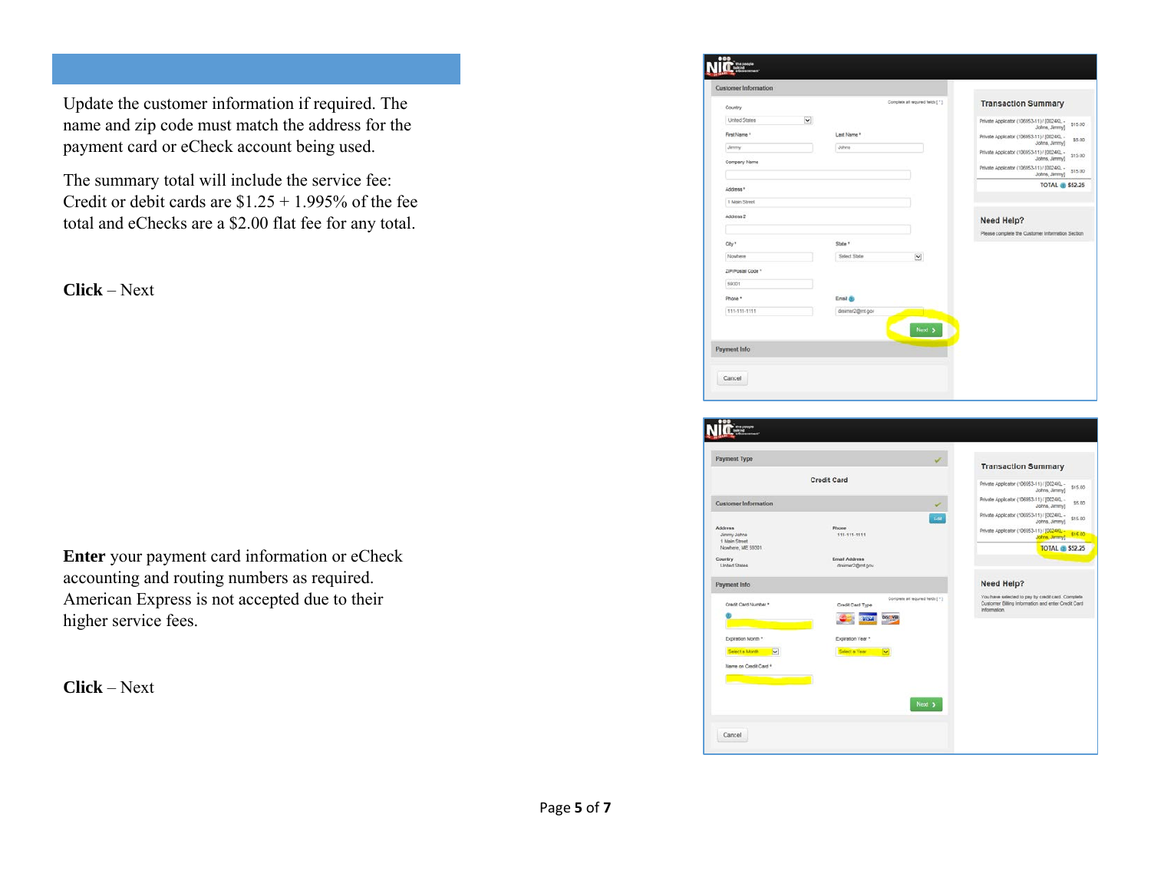Update the customer information if required. The name and zip code must match the address for the payment card or eCheck account being used.

The summary total will include the service fee: Credit or debit cards are  $$1.25 + 1.995\%$  of the fee total and eChecks are a \$2.00 flat fee for any total.

**Click** – Next

**Enter** your payment card information or eCheck accounting and routing numbers as required. American Express is not accepted due to their higher service fees.

**Click** – Next

|                   |                         |                 | Complete all required fields [11] | <b>Transaction Summary</b>                                   |         |
|-------------------|-------------------------|-----------------|-----------------------------------|--------------------------------------------------------------|---------|
| Country           |                         |                 |                                   |                                                              |         |
| United States     | $\overline{\mathbf{v}}$ |                 |                                   | Private Applicator (106953-11) / [0024/0, -<br>Johns, Jimmy] | \$15.00 |
| First Name *      |                         | Last Name *     |                                   | Private Applicator (106953-11) / [0024KL -                   | \$5.00  |
| Jenny             |                         | Johns           |                                   | Johns, Jimmy)<br>Private Applicator (106953-11) / [0024KL -  | \$15.00 |
| Company Name      |                         |                 |                                   | Johns, Jimmy)<br>Private Applicator (106953-11) / (0024/0, - | \$15.00 |
|                   |                         |                 |                                   | Johns, Jimmy)                                                |         |
| Address *         |                         |                 |                                   | <b>TOTAL</b> \$52.25                                         |         |
| 1 Main Street     |                         |                 |                                   |                                                              |         |
| Address 2         |                         |                 |                                   | Need Help?                                                   |         |
|                   |                         |                 |                                   | Please complete the Customer Information Section             |         |
| City *            |                         | State *         |                                   |                                                              |         |
| Nowhere           |                         | Select State    | $\mathbf v$                       |                                                              |         |
| ZIP/Postal Code * |                         |                 |                                   |                                                              |         |
| 59301             |                         |                 |                                   |                                                              |         |
| Phone *           |                         | Email dis       |                                   |                                                              |         |
|                   |                         | dreimer2@mt.gov |                                   |                                                              |         |

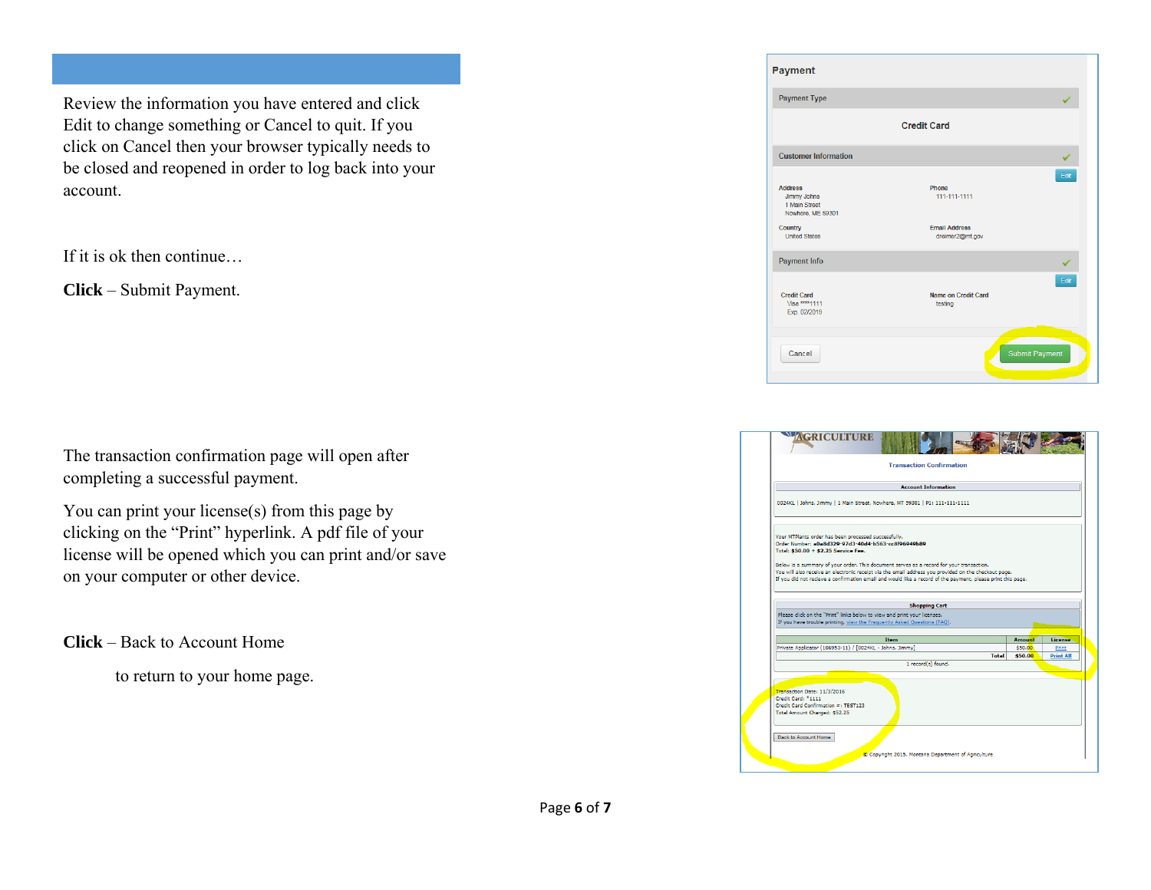Review the information you have entered and click Edit to change something or Cancel to quit. If you click on Cancel then your browser typically needs to be closed and reopened in order to log back into your account.

If it is ok then continue…

**Click** – Submit Payment.

The transaction confirmation page will open after completing a successful payment.

You can print your license(s) from this page by clicking on the "Print" hyperlink. A pdf file of your license will be opened which you can print and/or save on your computer or other device.

**Click** – Back to Account Home

to return to your home page.

| <b>Payment</b>                                                      |                                               |
|---------------------------------------------------------------------|-----------------------------------------------|
| <b>Payment Type</b>                                                 |                                               |
|                                                                     | <b>Credit Card</b>                            |
| <b>Customer Information</b>                                         |                                               |
| <b>Address</b><br>Jimmy Johns<br>1 Main Street<br>Nowhere, ME 59301 | Edit<br>Phone<br>111-111-1111                 |
| Country<br><b>United States</b>                                     | <b>Email Address</b><br>dreimer2@mt.gov       |
| <b>Payment Info</b>                                                 |                                               |
| <b>Credit Card</b><br>Visa **** 1111<br>Exp. 02/2019                | Edit<br><b>Name on Credit Card</b><br>testing |
| Cancel                                                              | <b>Submit Payment</b>                         |
|                                                                     |                                               |

|                                                                                                                                                                                                                                                                                                                                                                                                                                                                       |                                                                                                                                                      | <b>Account Information</b> |       |               |                  |
|-----------------------------------------------------------------------------------------------------------------------------------------------------------------------------------------------------------------------------------------------------------------------------------------------------------------------------------------------------------------------------------------------------------------------------------------------------------------------|------------------------------------------------------------------------------------------------------------------------------------------------------|----------------------------|-------|---------------|------------------|
| 0024KL   Johns, Jimmy   1 Main Street, Nowhere, MT 59301   P1: 111-111-1111                                                                                                                                                                                                                                                                                                                                                                                           |                                                                                                                                                      |                            |       |               |                  |
| Your MTPlants order has been processed successfully.<br>Order Number: a0a8d329-97d3-40d4-b563-cc8f96949b89<br>Total: \$50.00 + \$2.25 Service Fee.<br>Below is a summary of your order. This document serves as a record for your transaction.<br>You will also receive an electronic receipt via the email address you provided on the checkout page.<br>If you did not recieve a confirmation email and would like a record of the payment, please print this page. |                                                                                                                                                      |                            |       |               |                  |
|                                                                                                                                                                                                                                                                                                                                                                                                                                                                       |                                                                                                                                                      |                            |       |               |                  |
|                                                                                                                                                                                                                                                                                                                                                                                                                                                                       |                                                                                                                                                      | <b>Shopping Cart</b>       |       |               |                  |
|                                                                                                                                                                                                                                                                                                                                                                                                                                                                       | Please click on the "Print" links below to view and print your licenses.<br>If you have trouble printing, view the Frequently Asked Questions (FAQ). |                            |       |               |                  |
|                                                                                                                                                                                                                                                                                                                                                                                                                                                                       | <b>Item</b>                                                                                                                                          |                            |       | <b>Amount</b> | License          |
| Private Applicator (106953-11) / [0024KL - Johns, Jimmy]                                                                                                                                                                                                                                                                                                                                                                                                              |                                                                                                                                                      |                            |       | \$50.00       | <b>Print</b>     |
|                                                                                                                                                                                                                                                                                                                                                                                                                                                                       |                                                                                                                                                      |                            | Total | \$50.00       | <b>Print All</b> |
|                                                                                                                                                                                                                                                                                                                                                                                                                                                                       |                                                                                                                                                      | 1 record(s) found.         |       |               |                  |
|                                                                                                                                                                                                                                                                                                                                                                                                                                                                       |                                                                                                                                                      |                            |       |               |                  |
| Transaction Date: 11/3/2016<br>Credit Card: *1111<br>Credit Card Confirmation =: TEST123<br>Total Amount Charged: \$52.25                                                                                                                                                                                                                                                                                                                                             |                                                                                                                                                      |                            |       |               |                  |